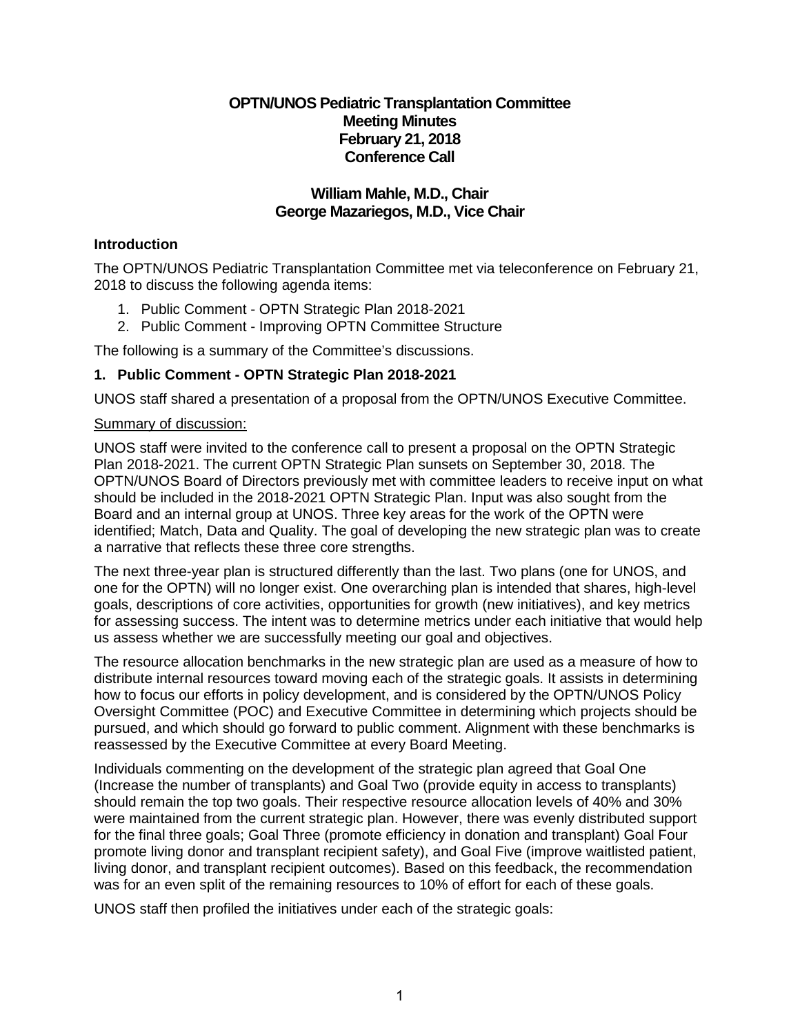## **OPTN/UNOS Pediatric Transplantation Committee Meeting Minutes February 21, 2018 Conference Call**

## **William Mahle, M.D., Chair George Mazariegos, M.D., Vice Chair**

### **Introduction**

The OPTN/UNOS Pediatric Transplantation Committee met via teleconference on February 21, 2018 to discuss the following agenda items:

- 1. Public Comment OPTN Strategic Plan 2018-2021
- 2. Public Comment Improving OPTN Committee Structure

The following is a summary of the Committee's discussions.

## **1. Public Comment - OPTN Strategic Plan 2018-2021**

UNOS staff shared a presentation of a proposal from the OPTN/UNOS Executive Committee.

#### Summary of discussion:

UNOS staff were invited to the conference call to present a proposal on the OPTN Strategic Plan 2018-2021. The current OPTN Strategic Plan sunsets on September 30, 2018. The OPTN/UNOS Board of Directors previously met with committee leaders to receive input on what should be included in the 2018-2021 OPTN Strategic Plan. Input was also sought from the Board and an internal group at UNOS. Three key areas for the work of the OPTN were identified; Match, Data and Quality. The goal of developing the new strategic plan was to create a narrative that reflects these three core strengths.

The next three-year plan is structured differently than the last. Two plans (one for UNOS, and one for the OPTN) will no longer exist. One overarching plan is intended that shares, high-level goals, descriptions of core activities, opportunities for growth (new initiatives), and key metrics for assessing success. The intent was to determine metrics under each initiative that would help us assess whether we are successfully meeting our goal and objectives.

The resource allocation benchmarks in the new strategic plan are used as a measure of how to distribute internal resources toward moving each of the strategic goals. It assists in determining how to focus our efforts in policy development, and is considered by the OPTN/UNOS Policy Oversight Committee (POC) and Executive Committee in determining which projects should be pursued, and which should go forward to public comment. Alignment with these benchmarks is reassessed by the Executive Committee at every Board Meeting.

Individuals commenting on the development of the strategic plan agreed that Goal One (Increase the number of transplants) and Goal Two (provide equity in access to transplants) should remain the top two goals. Their respective resource allocation levels of 40% and 30% were maintained from the current strategic plan. However, there was evenly distributed support for the final three goals; Goal Three (promote efficiency in donation and transplant) Goal Four promote living donor and transplant recipient safety), and Goal Five (improve waitlisted patient, living donor, and transplant recipient outcomes). Based on this feedback, the recommendation was for an even split of the remaining resources to 10% of effort for each of these goals.

UNOS staff then profiled the initiatives under each of the strategic goals: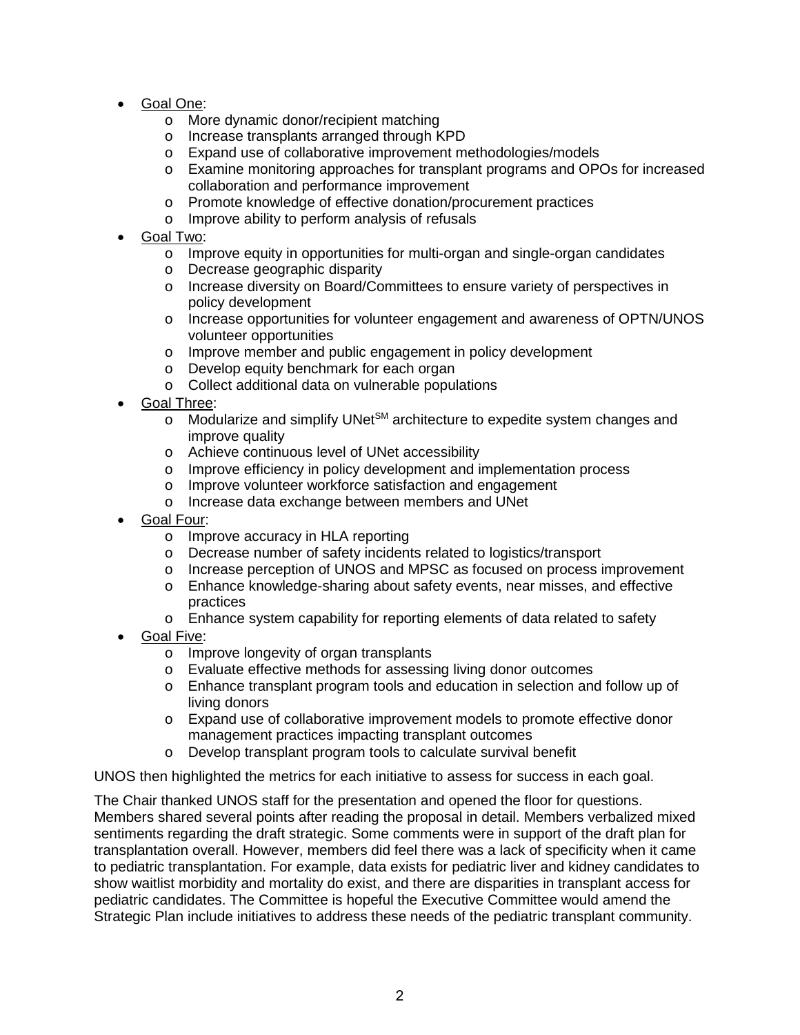- Goal One:
	- o More dynamic donor/recipient matching
	- o Increase transplants arranged through KPD
	- o Expand use of collaborative improvement methodologies/models
	- o Examine monitoring approaches for transplant programs and OPOs for increased collaboration and performance improvement
	- o Promote knowledge of effective donation/procurement practices
	- o Improve ability to perform analysis of refusals
- Goal Two:
	- $\circ$  Improve equity in opportunities for multi-organ and single-organ candidates
	- o Decrease geographic disparity
	- o Increase diversity on Board/Committees to ensure variety of perspectives in policy development
	- o Increase opportunities for volunteer engagement and awareness of OPTN/UNOS volunteer opportunities
	- o Improve member and public engagement in policy development
	- o Develop equity benchmark for each organ
	- o Collect additional data on vulnerable populations
- Goal Three:
	- $\circ$  Modularize and simplify UNet<sup>SM</sup> architecture to expedite system changes and improve quality
	- o Achieve continuous level of UNet accessibility
	- o Improve efficiency in policy development and implementation process
	- o Improve volunteer workforce satisfaction and engagement
	- o Increase data exchange between members and UNet
- Goal Four:
	- o Improve accuracy in HLA reporting
	- o Decrease number of safety incidents related to logistics/transport
	- o Increase perception of UNOS and MPSC as focused on process improvement
	- o Enhance knowledge-sharing about safety events, near misses, and effective practices
	- o Enhance system capability for reporting elements of data related to safety
- **Goal Five:** 
	- o Improve longevity of organ transplants
	- o Evaluate effective methods for assessing living donor outcomes
	- o Enhance transplant program tools and education in selection and follow up of living donors
	- o Expand use of collaborative improvement models to promote effective donor management practices impacting transplant outcomes
	- o Develop transplant program tools to calculate survival benefit

UNOS then highlighted the metrics for each initiative to assess for success in each goal.

The Chair thanked UNOS staff for the presentation and opened the floor for questions. Members shared several points after reading the proposal in detail. Members verbalized mixed sentiments regarding the draft strategic. Some comments were in support of the draft plan for transplantation overall. However, members did feel there was a lack of specificity when it came to pediatric transplantation. For example, data exists for pediatric liver and kidney candidates to show waitlist morbidity and mortality do exist, and there are disparities in transplant access for pediatric candidates. The Committee is hopeful the Executive Committee would amend the Strategic Plan include initiatives to address these needs of the pediatric transplant community.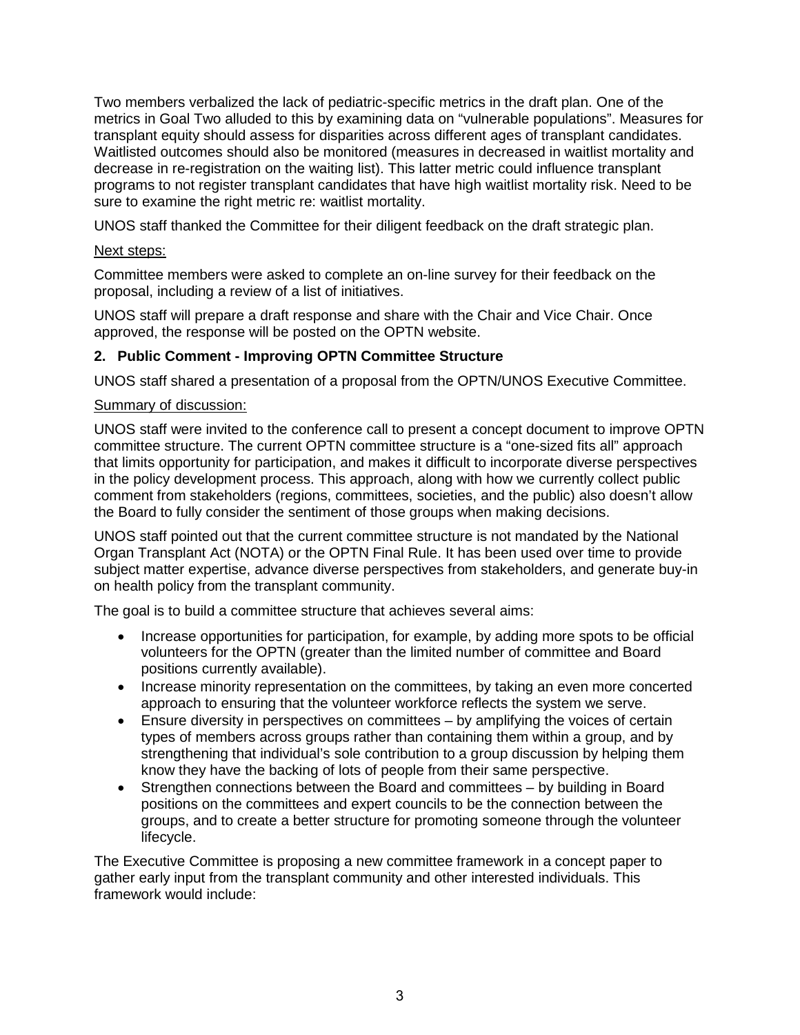Two members verbalized the lack of pediatric-specific metrics in the draft plan. One of the metrics in Goal Two alluded to this by examining data on "vulnerable populations". Measures for transplant equity should assess for disparities across different ages of transplant candidates. Waitlisted outcomes should also be monitored (measures in decreased in waitlist mortality and decrease in re-registration on the waiting list). This latter metric could influence transplant programs to not register transplant candidates that have high waitlist mortality risk. Need to be sure to examine the right metric re: waitlist mortality.

UNOS staff thanked the Committee for their diligent feedback on the draft strategic plan.

### Next steps:

Committee members were asked to complete an on-line survey for their feedback on the proposal, including a review of a list of initiatives.

UNOS staff will prepare a draft response and share with the Chair and Vice Chair. Once approved, the response will be posted on the OPTN website.

## **2. Public Comment - Improving OPTN Committee Structure**

UNOS staff shared a presentation of a proposal from the OPTN/UNOS Executive Committee.

### Summary of discussion:

UNOS staff were invited to the conference call to present a concept document to improve OPTN committee structure. The current OPTN committee structure is a "one-sized fits all" approach that limits opportunity for participation, and makes it difficult to incorporate diverse perspectives in the policy development process. This approach, along with how we currently collect public comment from stakeholders (regions, committees, societies, and the public) also doesn't allow the Board to fully consider the sentiment of those groups when making decisions.

UNOS staff pointed out that the current committee structure is not mandated by the National Organ Transplant Act (NOTA) or the OPTN Final Rule. It has been used over time to provide subject matter expertise, advance diverse perspectives from stakeholders, and generate buy-in on health policy from the transplant community.

The goal is to build a committee structure that achieves several aims:

- Increase opportunities for participation, for example, by adding more spots to be official volunteers for the OPTN (greater than the limited number of committee and Board positions currently available).
- Increase minority representation on the committees, by taking an even more concerted approach to ensuring that the volunteer workforce reflects the system we serve.
- Ensure diversity in perspectives on committees by amplifying the voices of certain types of members across groups rather than containing them within a group, and by strengthening that individual's sole contribution to a group discussion by helping them know they have the backing of lots of people from their same perspective.
- Strengthen connections between the Board and committees by building in Board positions on the committees and expert councils to be the connection between the groups, and to create a better structure for promoting someone through the volunteer lifecycle.

The Executive Committee is proposing a new committee framework in a concept paper to gather early input from the transplant community and other interested individuals. This framework would include: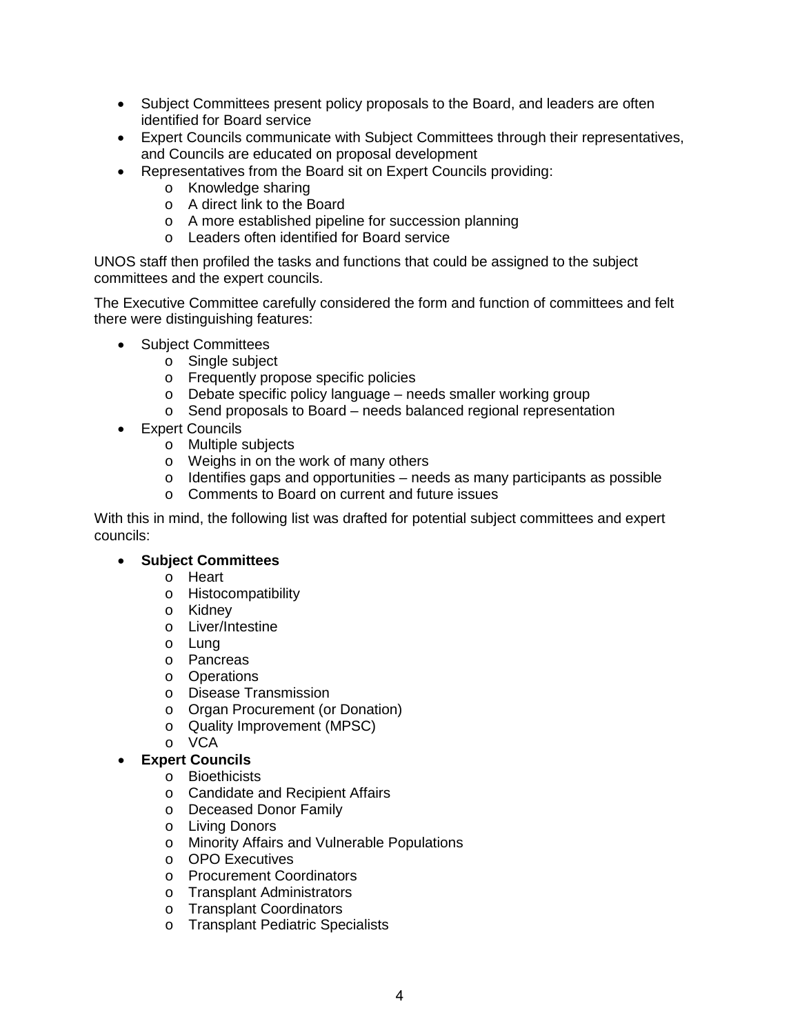- Subject Committees present policy proposals to the Board, and leaders are often identified for Board service
- Expert Councils communicate with Subject Committees through their representatives, and Councils are educated on proposal development
- Representatives from the Board sit on Expert Councils providing:
	- o Knowledge sharing
	- o A direct link to the Board
	- o A more established pipeline for succession planning
	- o Leaders often identified for Board service

UNOS staff then profiled the tasks and functions that could be assigned to the subject committees and the expert councils.

The Executive Committee carefully considered the form and function of committees and felt there were distinguishing features:

- Subject Committees
	- o Single subject
	- o Frequently propose specific policies
	- o Debate specific policy language needs smaller working group
	- o Send proposals to Board needs balanced regional representation
- Expert Councils
	- o Multiple subjects
	- o Weighs in on the work of many others
	- o Identifies gaps and opportunities needs as many participants as possible
	- o Comments to Board on current and future issues

With this in mind, the following list was drafted for potential subject committees and expert councils:

# • **Subject Committees**

- o Heart
- o Histocompatibility
- o Kidney
- o Liver/Intestine
- o Lung
- o Pancreas
- o Operations
- o Disease Transmission
- o Organ Procurement (or Donation)
- o Quality Improvement (MPSC)
- o VCA

### • **Expert Councils**

- o Bioethicists
- o Candidate and Recipient Affairs
- o Deceased Donor Family
- o Living Donors
- o Minority Affairs and Vulnerable Populations
- o OPO Executives
- o Procurement Coordinators
- o Transplant Administrators
- o Transplant Coordinators
- o Transplant Pediatric Specialists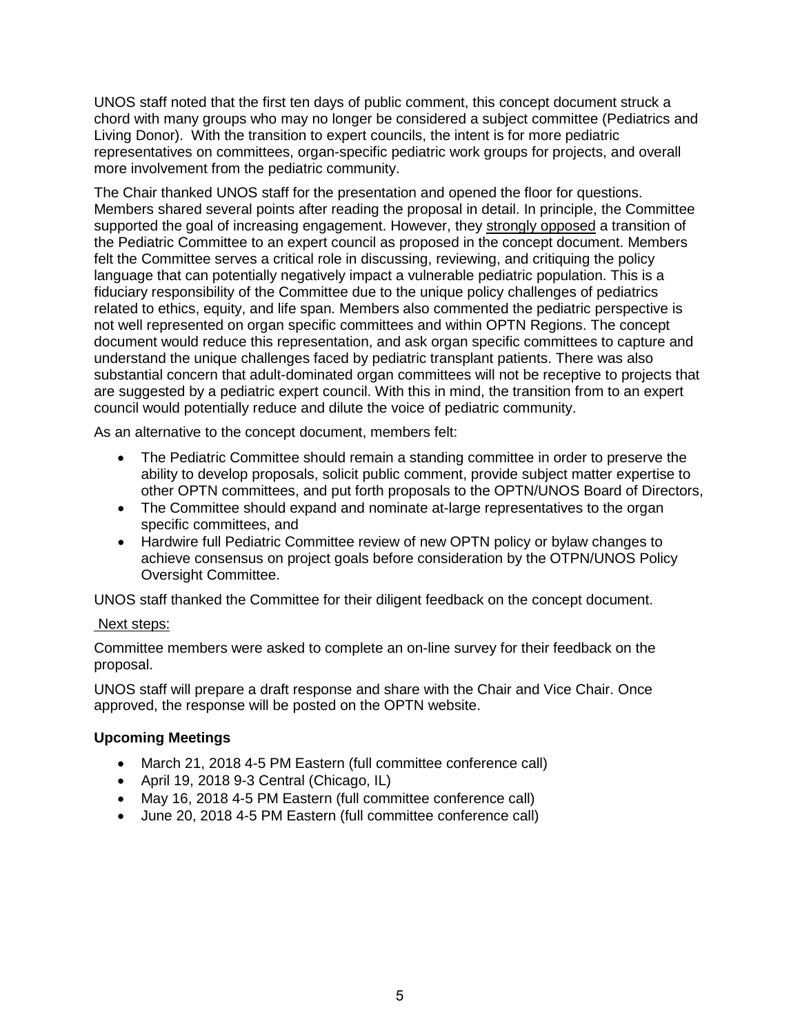UNOS staff noted that the first ten days of public comment, this concept document struck a chord with many groups who may no longer be considered a subject committee (Pediatrics and Living Donor). With the transition to expert councils, the intent is for more pediatric representatives on committees, organ-specific pediatric work groups for projects, and overall more involvement from the pediatric community.

The Chair thanked UNOS staff for the presentation and opened the floor for questions. Members shared several points after reading the proposal in detail. In principle, the Committee supported the goal of increasing engagement. However, they strongly opposed a transition of the Pediatric Committee to an expert council as proposed in the concept document. Members felt the Committee serves a critical role in discussing, reviewing, and critiquing the policy language that can potentially negatively impact a vulnerable pediatric population. This is a fiduciary responsibility of the Committee due to the unique policy challenges of pediatrics related to ethics, equity, and life span. Members also commented the pediatric perspective is not well represented on organ specific committees and within OPTN Regions. The concept document would reduce this representation, and ask organ specific committees to capture and understand the unique challenges faced by pediatric transplant patients. There was also substantial concern that adult-dominated organ committees will not be receptive to projects that are suggested by a pediatric expert council. With this in mind, the transition from to an expert council would potentially reduce and dilute the voice of pediatric community.

As an alternative to the concept document, members felt:

- The Pediatric Committee should remain a standing committee in order to preserve the ability to develop proposals, solicit public comment, provide subject matter expertise to other OPTN committees, and put forth proposals to the OPTN/UNOS Board of Directors,
- The Committee should expand and nominate at-large representatives to the organ specific committees, and
- Hardwire full Pediatric Committee review of new OPTN policy or bylaw changes to achieve consensus on project goals before consideration by the OTPN/UNOS Policy Oversight Committee.

UNOS staff thanked the Committee for their diligent feedback on the concept document.

### Next steps:

Committee members were asked to complete an on-line survey for their feedback on the proposal.

UNOS staff will prepare a draft response and share with the Chair and Vice Chair. Once approved, the response will be posted on the OPTN website.

### **Upcoming Meetings**

- March 21, 2018 4-5 PM Eastern (full committee conference call)
- April 19, 2018 9-3 Central (Chicago, IL)
- May 16, 2018 4-5 PM Eastern (full committee conference call)
- June 20, 2018 4-5 PM Eastern (full committee conference call)